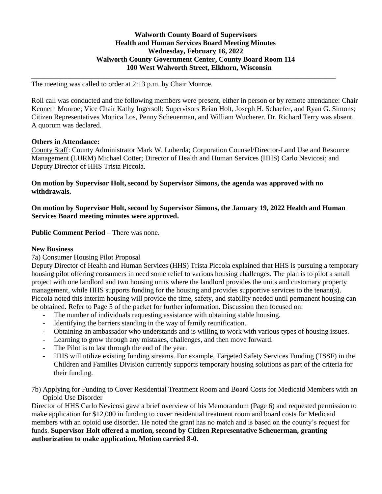## **Walworth County Board of Supervisors Health and Human Services Board Meeting Minutes Wednesday, February 16, 2022 Walworth County Government Center, County Board Room 114 100 West Walworth Street, Elkhorn, Wisconsin**

**\_\_\_\_\_\_\_\_\_\_\_\_\_\_\_\_\_\_\_\_\_\_\_\_\_\_\_\_\_\_\_\_\_\_\_\_\_\_\_\_\_\_\_\_\_\_\_\_\_\_\_\_\_\_\_\_\_\_\_\_\_\_\_\_\_\_\_\_\_\_\_\_\_\_\_\_\_\_\_\_\_\_\_\_\_**

The meeting was called to order at 2:13 p.m. by Chair Monroe.

Roll call was conducted and the following members were present, either in person or by remote attendance: Chair Kenneth Monroe; Vice Chair Kathy Ingersoll; Supervisors Brian Holt, Joseph H. Schaefer, and Ryan G. Simons; Citizen Representatives Monica Los, Penny Scheuerman, and William Wucherer. Dr. Richard Terry was absent. A quorum was declared.

#### **Others in Attendance:**

County Staff: County Administrator Mark W. Luberda; Corporation Counsel/Director-Land Use and Resource Management (LURM) Michael Cotter; Director of Health and Human Services (HHS) Carlo Nevicosi; and Deputy Director of HHS Trista Piccola.

**On motion by Supervisor Holt, second by Supervisor Simons, the agenda was approved with no withdrawals.** 

**On motion by Supervisor Holt, second by Supervisor Simons, the January 19, 2022 Health and Human Services Board meeting minutes were approved.** 

**Public Comment Period – There was none.** 

#### **New Business**

## 7a) Consumer Housing Pilot Proposal

Deputy Director of Health and Human Services (HHS) Trista Piccola explained that HHS is pursuing a temporary housing pilot offering consumers in need some relief to various housing challenges. The plan is to pilot a small project with one landlord and two housing units where the landlord provides the units and customary property management, while HHS supports funding for the housing and provides supportive services to the tenant(s). Piccola noted this interim housing will provide the time, safety, and stability needed until permanent housing can be obtained. Refer to Page 5 of the packet for further information. Discussion then focused on:

- The number of individuals requesting assistance with obtaining stable housing.
- Identifying the barriers standing in the way of family reunification.
- Obtaining an ambassador who understands and is willing to work with various types of housing issues.
- Learning to grow through any mistakes, challenges, and then move forward.
- The Pilot is to last through the end of the year.
- HHS will utilize existing funding streams. For example, Targeted Safety Services Funding (TSSF) in the Children and Families Division currently supports temporary housing solutions as part of the criteria for their funding.

7b) Applying for Funding to Cover Residential Treatment Room and Board Costs for Medicaid Members with an Opioid Use Disorder

Director of HHS Carlo Nevicosi gave a brief overview of his Memorandum (Page 6) and requested permission to make application for \$12,000 in funding to cover residential treatment room and board costs for Medicaid members with an opioid use disorder. He noted the grant has no match and is based on the county's request for funds. **Supervisor Holt offered a motion, second by Citizen Representative Scheuerman, granting authorization to make application. Motion carried 8-0.**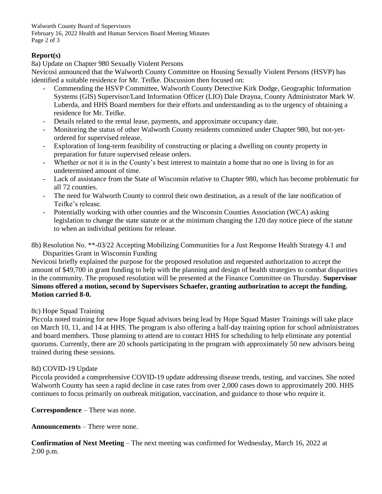Walworth County Board of Supervisors February 16, 2022 Health and Human Services Board Meeting Minutes Page 2 of 3

## **Report(s)**

8a) Update on Chapter 980 Sexually Violent Persons

Nevicosi announced that the Walworth County Committee on Housing Sexually Violent Persons (HSVP) has identified a suitable residence for Mr. Teifke. Discussion then focused on:

- Commending the HSVP Committee, Walworth County Detective Kirk Dodge, Geographic Information Systems (GIS) Supervisor/Land Information Officer (LIO) Dale Drayna, County Administrator Mark W. Luberda, and HHS Board members for their efforts and understanding as to the urgency of obtaining a residence for Mr. Teifke.
- Details related to the rental lease, payments, and approximate occupancy date.
- Monitoring the status of other Walworth County residents committed under Chapter 980, but not-yetordered for supervised release.
- Exploration of long-term feasibility of constructing or placing a dwelling on county property in preparation for future supervised release orders.
- Whether or not it is in the County's best interest to maintain a home that no one is living in for an undetermined amount of time.
- Lack of assistance from the State of Wisconsin relative to Chapter 980, which has become problematic for all 72 counties.
- The need for Walworth County to control their own destination, as a result of the late notification of Teifke's release.
- Potentially working with other counties and the Wisconsin Counties Association (WCA) asking legislation to change the state statute or at the minimum changing the 120 day notice piece of the statute to when an individual petitions for release.
- 8b) Resolution No. \*\*-03/22 Accepting Mobilizing Communities for a Just Response Health Strategy 4.1 and Disparities Grant in Wisconsin Funding

Nevicosi briefly explained the purpose for the proposed resolution and requested authorization to accept the amount of \$49,700 in grant funding to help with the planning and design of health strategies to combat disparities in the community. The proposed resolution will be presented at the Finance Committee on Thursday. **Supervisor Simons offered a motion, second by Supervisors Schaefer, granting authorization to accept the funding. Motion carried 8-0.** 

## 8c) Hope Squad Training

Piccola noted training for new Hope Squad advisors being lead by Hope Squad Master Trainings will take place on March 10, 11, and 14 at HHS. The program is also offering a half-day training option for school administrators and board members. Those planning to attend are to contact HHS for scheduling to help eliminate any potential quorums. Currently, there are 20 schools participating in the program with approximately 50 new advisors being trained during these sessions.

## 8d) COVID-19 Update

Piccola provided a comprehensive COVID-19 update addressing disease trends, testing, and vaccines. She noted Walworth County has seen a rapid decline in case rates from over 2,000 cases down to approximately 200. HHS continues to focus primarily on outbreak mitigation, vaccination, and guidance to those who require it.

**Correspondence** – There was none.

**Announcements** – There were none.

**Confirmation of Next Meeting** – The next meeting was confirmed for Wednesday, March 16, 2022 at 2:00 p.m.